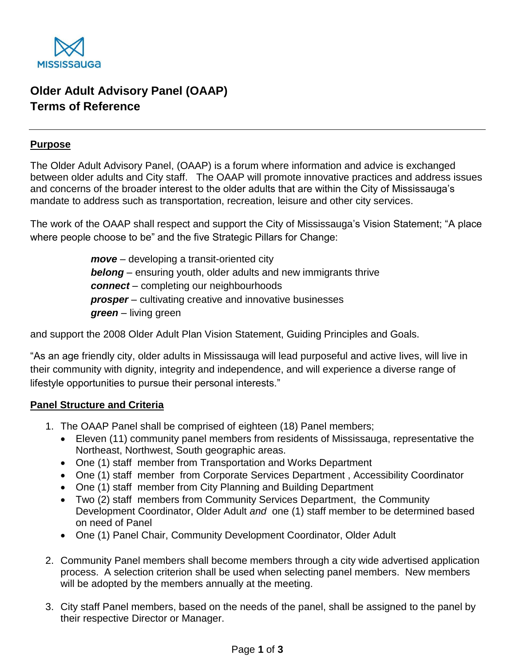

# **Older Adult Advisory Panel (OAAP) Terms of Reference**

#### **Purpose**

The Older Adult Advisory Panel, (OAAP) is a forum where information and advice is exchanged between older adults and City staff. The OAAP will promote innovative practices and address issues and concerns of the broader interest to the older adults that are within the City of Mississauga's mandate to address such as transportation, recreation, leisure and other city services.

The work of the OAAP shall respect and support the City of Mississauga's Vision Statement; "A place where people choose to be" and the five Strategic Pillars for Change:

> *move* – developing a transit-oriented city *belong* – ensuring youth, older adults and new immigrants thrive *connect* – completing our neighbourhoods **prosper** – cultivating creative and innovative businesses *green* – living green

and support the 2008 Older Adult Plan Vision Statement, Guiding Principles and Goals.

"As an age friendly city, older adults in Mississauga will lead purposeful and active lives, will live in their community with dignity, integrity and independence, and will experience a diverse range of lifestyle opportunities to pursue their personal interests."

## **Panel Structure and Criteria**

- 1. The OAAP Panel shall be comprised of eighteen (18) Panel members;
	- Eleven (11) community panel members from residents of Mississauga, representative the Northeast, Northwest, South geographic areas.
	- One (1) staff member from Transportation and Works Department
	- One (1) staff member from Corporate Services Department , Accessibility Coordinator
	- One (1) staff member from City Planning and Building Department
	- Two (2) staff members from Community Services Department, the Community Development Coordinator, Older Adult *and* one (1) staff member to be determined based on need of Panel
	- One (1) Panel Chair, Community Development Coordinator, Older Adult
- 2. Community Panel members shall become members through a city wide advertised application process. A selection criterion shall be used when selecting panel members. New members will be adopted by the members annually at the meeting.
- 3. City staff Panel members, based on the needs of the panel, shall be assigned to the panel by their respective Director or Manager.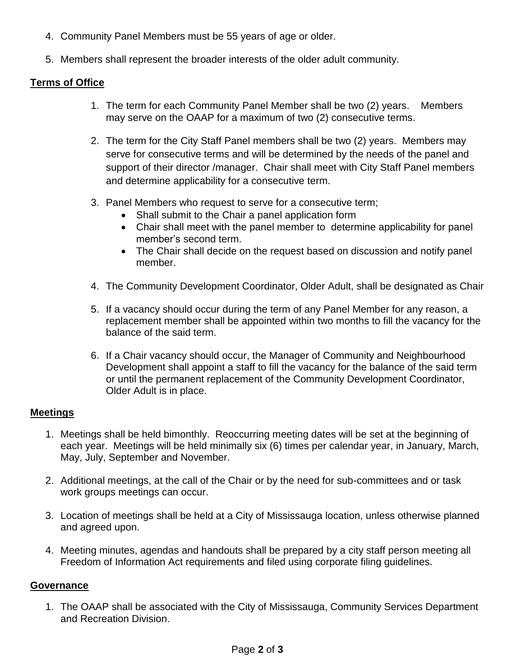- 4. Community Panel Members must be 55 years of age or older.
- 5. Members shall represent the broader interests of the older adult community.

## **Terms of Office**

- 1. The term for each Community Panel Member shall be two (2) years. Members may serve on the OAAP for a maximum of two (2) consecutive terms.
- 2. The term for the City Staff Panel members shall be two (2) years. Members may serve for consecutive terms and will be determined by the needs of the panel and support of their director /manager. Chair shall meet with City Staff Panel members and determine applicability for a consecutive term.
- 3. Panel Members who request to serve for a consecutive term;
	- Shall submit to the Chair a panel application form
	- Chair shall meet with the panel member to determine applicability for panel member's second term.
	- The Chair shall decide on the request based on discussion and notify panel member.
- 4. The Community Development Coordinator, Older Adult, shall be designated as Chair
- 5. If a vacancy should occur during the term of any Panel Member for any reason, a replacement member shall be appointed within two months to fill the vacancy for the balance of the said term.
- 6. If a Chair vacancy should occur, the Manager of Community and Neighbourhood Development shall appoint a staff to fill the vacancy for the balance of the said term or until the permanent replacement of the Community Development Coordinator, Older Adult is in place.

## **Meetings**

- 1. Meetings shall be held bimonthly. Reoccurring meeting dates will be set at the beginning of each year. Meetings will be held minimally six (6) times per calendar year, in January, March, May, July, September and November.
- 2. Additional meetings, at the call of the Chair or by the need for sub-committees and or task work groups meetings can occur.
- 3. Location of meetings shall be held at a City of Mississauga location, unless otherwise planned and agreed upon.
- 4. Meeting minutes, agendas and handouts shall be prepared by a city staff person meeting all Freedom of Information Act requirements and filed using corporate filing guidelines.

## **Governance**

1. The OAAP shall be associated with the City of Mississauga, Community Services Department and Recreation Division.